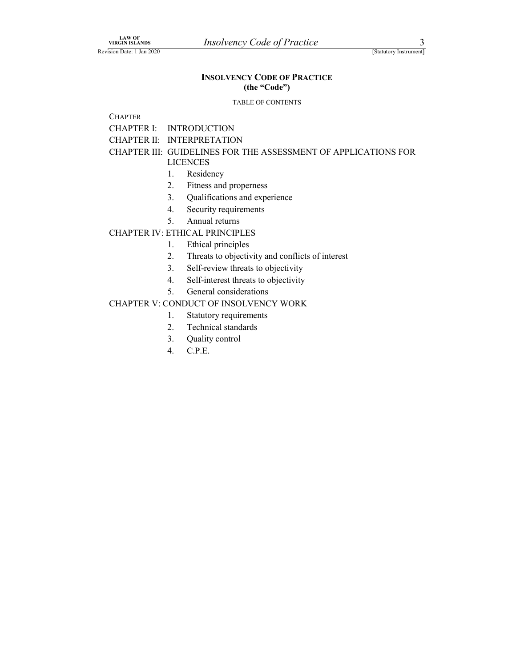## LAW OF<br>
VIRGIN ISLANDS<br>
SIGRIUDT ISLANDS<br>
INSOLVENCY CODE OF PRACTICE<br>
(the "Code") LAW OF<br>
VIRGIN ISLANDS<br>
INSOLVENCY CODE OF PRACTICE<br>
(The "Code")<br>
TABLE OF CONTENTS INSOLVENCY CODE OF PRACTICE (the "Code")

### TABLE OF CONTENTS

**CHAPTER** 

CHAPTER I: INTRODUCTION

CHAPTER II: INTERPRETATION

## CHAPTER III: GUIDELINES FOR THE ASSESSMENT OF APPLICATIONS FOR

LICENCES

- 1. Residency
- 2. Fitness and properness
- 3. Qualifications and experience
- 4. Security requirements
- 5. Annual returns

### CHAPTER IV: ETHICAL PRINCIPLES

- 1. Ethical principles
- 2. Threats to objectivity and conflicts of interest
- 3. Self-review threats to objectivity
- 4. Self-interest threats to objectivity
- 5. General considerations

### CHAPTER V: CONDUCT OF INSOLVENCY WORK

## 1. Statutory requirements

- 2. Technical standards
- 3. Quality control
- 4. C.P.E.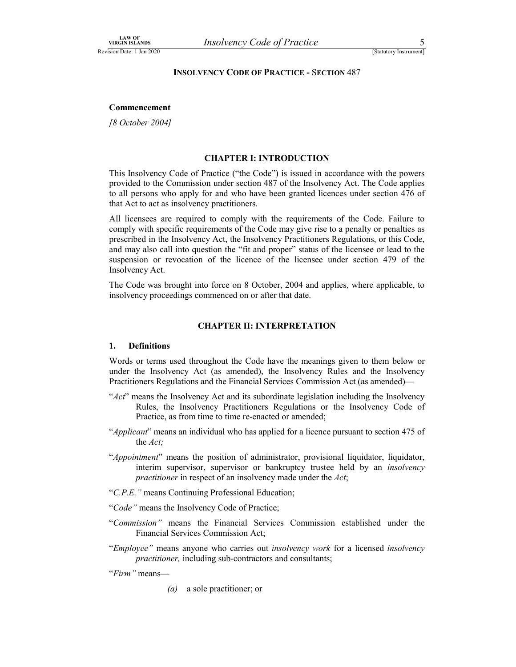# LAW OF<br>
VIRGIN ISLANDS<br>
INSOLVENCY CODE OF PRACTICE - SECTION 487<br>
INSOLVENCY CODE OF PRACTICE - SECTION 487 VIRGIN ISLANDS<br>
INSOLVENCY CODE OF PRACTICE - SECTION 487<br>
Commonography INSOLVENCY CODE OF PRACTICE - SECTION 487

### Commencement

[8 October 2004]

### CHAPTER I: INTRODUCTION

This Insolvency Code of Practice ("the Code") is issued in accordance with the powers provided to the Commission under section 487 of the Insolvency Act. The Code applies to all persons who apply for and who have been granted licences under section 476 of that Act to act as insolvency practitioners.

All licensees are required to comply with the requirements of the Code. Failure to comply with specific requirements of the Code may give rise to a penalty or penalties as prescribed in the Insolvency Act, the Insolvency Practitioners Regulations, or this Code, and may also call into question the "fit and proper" status of the licensee or lead to the suspension or revocation of the licence of the licensee under section 479 of the Insolvency Act.

The Code was brought into force on 8 October, 2004 and applies, where applicable, to insolvency proceedings commenced on or after that date.

### CHAPTER II: INTERPRETATION

### 1. Definitions

Words or terms used throughout the Code have the meanings given to them below or under the Insolvency Act (as amended), the Insolvency Rules and the Insolvency Practitioners Regulations and the Financial Services Commission Act (as amended)—<br>" $Act$ " means the Insolvency Act and its subordinate legislation including the Insolvency

- Rules, the Insolvency Practitioners Regulations or the Insolvency Code of Practice, as from time to time re-enacted or amended;<br>"Applicant" means an individual who has applied for a licence pursuant to section 475 of
- the Act;
- "Appointment" means the position of administrator, provisional liquidator, liquidator, interim supervisor, supervisor or bankruptcy trustee held by an *insolvency*
- 
- 
- practitioner in respect of an insolvency made under the Act;<br>
"C.P.E." means Continuing Professional Education;<br>
"Code" means the Insolvency Code of Practice;<br>
"Commission" means the Financial Services Commission establish
- "Employee" means anyone who carries out *insolvency work* for a licensed *insolvency* practitioner, including sub-contractors and consultants;<br>"Firm" means—

(a) a sole practitioner; or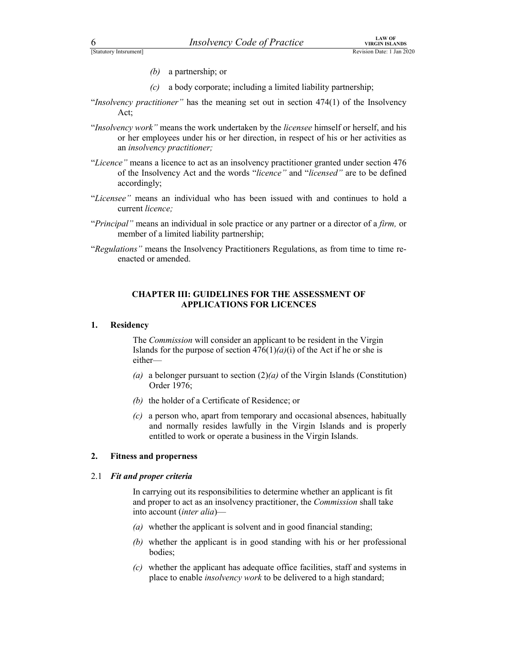- (b) a partnership; or
- FISTALLY COLORED TRISOLUTE THE CONDUCT COLORED TRISOLUTE THE CONDUCT TRISOLUTE THE CONDUCT TEND OF THE CONDUCT TEND OF THE CONDUCT TEND OF THE CONDUCT OF THE CONDUCT OF THE CONDUCT OF THE CONDUCT OF THE CONDUCT OF THE COND
- FECTRIC TRIM THE TRIM THE TRIM THE TRIM THE TRIM ISLANDS<br>
(b) a partnership; or<br>
(c) a body corporate; including a limited liability partnership;<br>
"Insolvency practitioner" has the meaning set out in section 474(1) of the (c) a body corporate; including a limited liability partnership;<br>"Insolvency practitioner" has the meaning set out in section  $474(1)$  of the Insolvency
- Act;<br>"Insolvency work" means the work undertaken by the licensee himself or herself, and his or her employees under his or her direction, in respect of his or her activities as an insolvency practitioner;  $\begin{array}{lll}\n\text{5} & & & \text{LAW OF} \\
\text{5} & & & \text{RAW OF} \\
\text{6} & & & \text{RWA IN SIANDS} \\
\text{6} & & & \text{RWA IN SIANDS} \\
\text{7} & & & \text{RWA IN SIANDS} \\
\text{8} & & & \text{RWA IN SIANDS} \\
\text{9} & & & & \text{RWA IN SIANDS} \\
\text{10} & & & & \text{RWA} \\
\text{11} & & & & \text{RWA} \\
\text{12} & & & & & \text{RWA} \\
\text{13} & & & & & \text{RWA} \\
\text{14} & &$
- of the Insolvency Act and the words "licence" and "licensed" are to be defined accordingly;<br>"Licensee" means an individual who has been issued with and continues to hold a
- current licence;
- "Principal" means an individual in sole practice or any partner or a director of a firm, or member of a limited liability partnership;<br>"Regulations" means the Insolvency Practitioners Regulations, as from time to time re-
- enacted or amended.

### CHAPTER III: GUIDELINES FOR THE ASSESSMENT OF APPLICATIONS FOR LICENCES

### 1. Residency

The Commission will consider an applicant to be resident in the Virgin Islands for the purpose of section  $476(1)(a)(i)$  of the Act if he or she is either—

- (a) a belonger pursuant to section  $(2)(a)$  of the Virgin Islands (Constitution) Order 1976;
- (b) the holder of a Certificate of Residence; or
- (c) a person who, apart from temporary and occasional absences, habitually and normally resides lawfully in the Virgin Islands and is properly entitled to work or operate a business in the Virgin Islands.

### 2. Fitness and properness

### 2.1 Fit and proper criteria

In carrying out its responsibilities to determine whether an applicant is fit and proper to act as an insolvency practitioner, the Commission shall take into account (inter alia)—

- (a) whether the applicant is solvent and in good financial standing;
- (b) whether the applicant is in good standing with his or her professional bodies;
- (c) whether the applicant has adequate office facilities, staff and systems in place to enable insolvency work to be delivered to a high standard;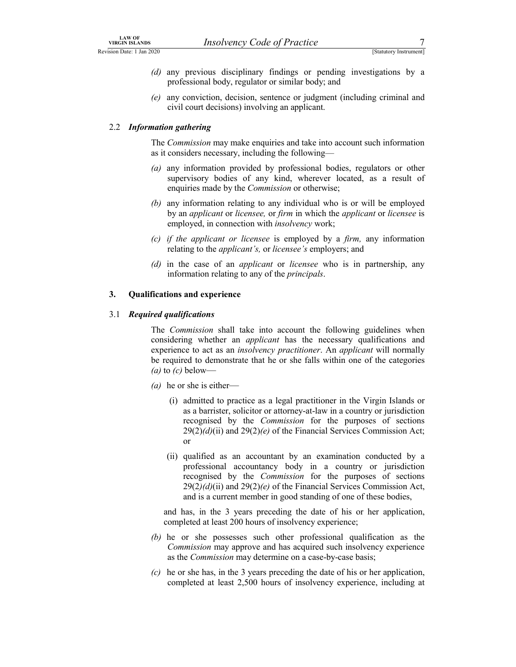- LAW OF<br>
VIRGIN ISLANDS<br>
SIGRILIST DAR EN LANDS ISLANDS<br>
(d) any previous disciplinary findings or pending investigations by a<br>
professional body, regulator or similar body; and<br>
(e) any conviction decision sentence or jud EXALUST VIRGIN ISLANDS<br>
Revision Date: 1 Jan 2020<br>
(d) any previous disciplinary findings or pending investigations by a<br>
professional body, regulator or similar body; and<br>
(e) any conviction, decision, sentence or judgmen (d) any previous disciplinary findings or pending investigations by a professional body, regulator or similar body; and
	- (e) any conviction, decision, sentence or judgment (including criminal and civil court decisions) involving an applicant.

### 2.2 Information gathering

The Commission may make enquiries and take into account such information as it considers necessary, including the following—

- (a) any information provided by professional bodies, regulators or other supervisory bodies of any kind, wherever located, as a result of enquiries made by the Commission or otherwise;
- (b) any information relating to any individual who is or will be employed by an applicant or licensee, or firm in which the applicant or licensee is employed, in connection with insolvency work;
- (c) if the applicant or licensee is employed by a firm, any information relating to the applicant's, or licensee's employers; and
- (d) in the case of an *applicant* or *licensee* who is in partnership, any information relating to any of the principals.

### 3. Qualifications and experience

### 3.1 Required qualifications

The *Commission* shall take into account the following guidelines when considering whether an applicant has the necessary qualifications and experience to act as an *insolvency practitioner*. An *applicant* will normally be required to demonstrate that he or she falls within one of the categories (a) to  $(c)$  below enquiries made by the *Commission* or otherwise;<br>any information relating to any individual who is or will be employed<br>by an applicant or licensee is employed, in connection with insolvency work;<br>if the applicant or licen *If the applicant or theenee* is employed by a *girm*, any information change to the *applicant's*, or licensee 's employers; and<br>in the case of an *applicant i* control to account the following guidelines when<br>**there** is

- (*a*) he or she is either
	- as a barrister, solicitor or attorney-at-law in a country or jurisdiction recognised by the Commission for the purposes of sections  $29(2)(d)(ii)$  and  $29(2)(e)$  of the Financial Services Commission Act; or
	- professional accountancy body in a country or jurisdiction recognised by the Commission for the purposes of sections  $29(2)(d)(ii)$  and  $29(2)(e)$  of the Financial Services Commission Act, and is a current member in good standing of one of these bodies,

and has, in the 3 years preceding the date of his or her application, completed at least 200 hours of insolvency experience;

- (b) he or she possesses such other professional qualification as the Commission may approve and has acquired such insolvency experience as the Commission may determine on a case-by-case basis;
- $(c)$  he or she has, in the 3 years preceding the date of his or her application, completed at least 2,500 hours of insolvency experience, including at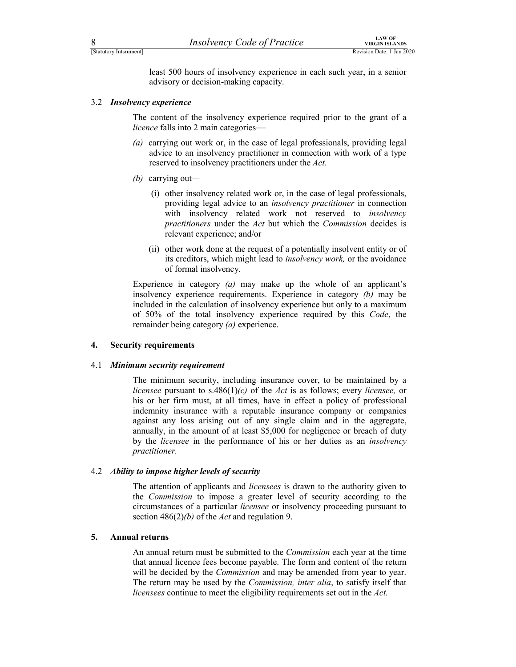FERENTIFY CORPORATION TO THE VIRGIN ISLANDS<br>
ESTATUROY INSTRUMENTS IN THE USE OF PRACTICE TRANSISTING THE SURVEY OF THE SEXUAL REVISION DATE: 1 Jan 2020<br>
Least 500 hours of insolvency experience in each such year, in a sen Final External Contract Contract Contract Contract Contract Control Control Control Control Control Control Control Control Control Control Control Control Control Control Control Control Control Control Control Control Co least 500 hours of insolvency experience in each such year, in a senior advisory or decision-making capacity.

### 3.2 Insolvency experience

The content of the insolvency experience required prior to the grant of a licence falls into 2 main categories—

- (a) carrying out work or, in the case of legal professionals, providing legal advice to an insolvency practitioner in connection with work of a type reserved to insolvency practitioners under the Act.
- (*b*) carrying out—
	- (i) other insolvency related work or, in the case of legal professionals, providing legal advice to an insolvency practitioner in connection with insolvency related work not reserved to *insolvency* practitioners under the Act but which the Commission decides is relevant experience; and/or
	- (ii) other work done at the request of a potentially insolvent entity or of its creditors, which might lead to *insolvency work*, or the avoidance of formal insolvency.

Experience in category  $(a)$  may make up the whole of an applicant's insolvency experience requirements. Experience in category (b) may be included in the calculation of insolvency experience but only to a maximum of 50% of the total insolvency experience required by this Code, the remainder being category (a) experience.

### 4. Security requirements

### 4.1 Minimum security requirement

The minimum security, including insurance cover, to be maintained by a licensee pursuant to s.486(1)(c) of the Act is as follows; every licensee, or his or her firm must, at all times, have in effect a policy of professional indemnity insurance with a reputable insurance company or companies against any loss arising out of any single claim and in the aggregate, annually, in the amount of at least \$5,000 for negligence or breach of duty by the licensee in the performance of his or her duties as an insolvency practitioner.

### 4.2 Ability to impose higher levels of security

The attention of applicants and *licensees* is drawn to the authority given to the Commission to impose a greater level of security according to the circumstances of a particular licensee or insolvency proceeding pursuant to section  $486(2)(b)$  of the Act and regulation 9.

### 5. Annual returns

An annual return must be submitted to the Commission each year at the time that annual licence fees become payable. The form and content of the return will be decided by the *Commission* and may be amended from year to year. The return may be used by the *Commission, inter alia*, to satisfy itself that licensees continue to meet the eligibility requirements set out in the Act.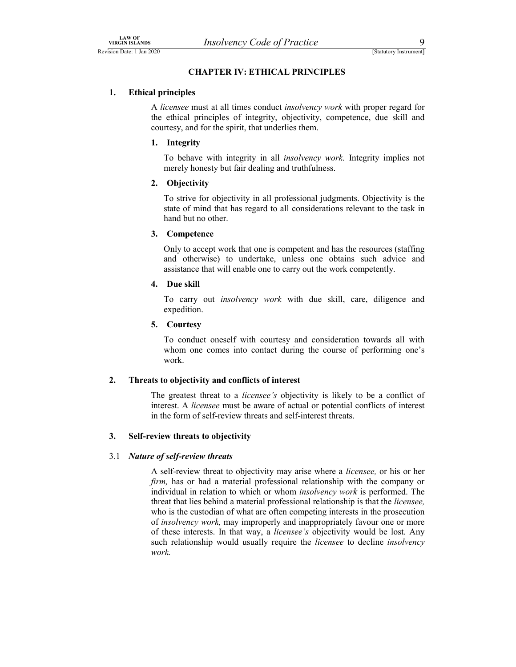# LAW OF<br>
VIRGIN ISLANDS<br>
SIGREE: 1 Jan 2020<br> **CHAPTER IV: ETHICAL PRINCIPLES**<br>
1. Ethical principles LAW OF<br>
VIRGIN ISLANDS<br>
EREVISION Date: 1 Jan 2020<br> **CHAPTER IV: ETHICAL PRINCIPLES**<br>
1. Ethical principles<br>
A *liganges* must at all times conduct insolver an work with proper rocard for CHAPTER IV: ETHICAL PRINCIPLES

### 1. Ethical principles

A licensee must at all times conduct insolvency work with proper regard for the ethical principles of integrity, objectivity, competence, due skill and courtesy, and for the spirit, that underlies them.

### 1. Integrity

To behave with integrity in all insolvency work. Integrity implies not merely honesty but fair dealing and truthfulness.

### 2. Objectivity

To strive for objectivity in all professional judgments. Objectivity is the state of mind that has regard to all considerations relevant to the task in hand but no other.

### 3. Competence

Only to accept work that one is competent and has the resources (staffing and otherwise) to undertake, unless one obtains such advice and assistance that will enable one to carry out the work competently.

### 4. Due skill

To carry out insolvency work with due skill, care, diligence and expedition.

### 5. Courtesy

To conduct oneself with courtesy and consideration towards all with whom one comes into contact during the course of performing one's work.

### 2. Threats to objectivity and conflicts of interest

The greatest threat to a *licensee's* objectivity is likely to be a conflict of interest. A licensee must be aware of actual or potential conflicts of interest in the form of self-review threats and self-interest threats.

### 3. Self-review threats to objectivity

### 3.1 Nature of self-review threats

A self-review threat to objectivity may arise where a licensee, or his or her firm, has or had a material professional relationship with the company or individual in relation to which or whom insolvency work is performed. The threat that lies behind a material professional relationship is that the licensee, who is the custodian of what are often competing interests in the prosecution of insolvency work, may improperly and inappropriately favour one or more of these interests. In that way, a licensee's objectivity would be lost. Any such relationship would usually require the *licensee* to decline *insolvency* work.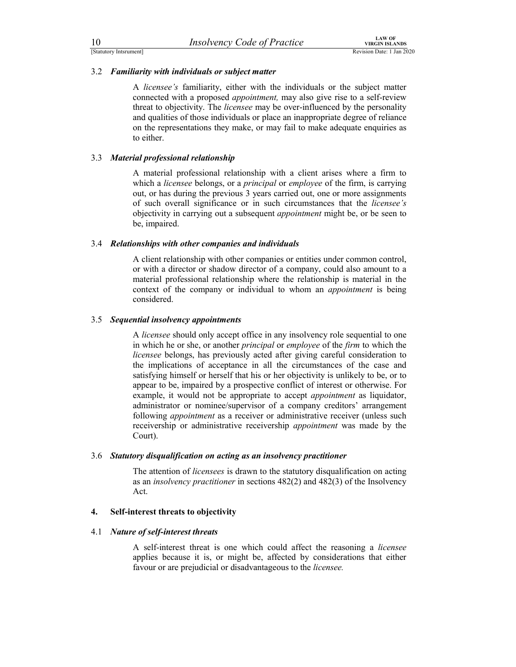3.2 Familiarity with individuals or subject matter

10 *Insolvency Code of Practice*<br>
Statutory Instantinent]<br>
3.2 *Familiarity with individuals or subject matter***<br>
A** *licensee's* **familiarity, either with the individuals or the subject matter<br>
connected with a proposed ap** For the content of the content of the content of the content of the content of the content of the content of the content of the content of the content of the content of the content of the content of the content of the cont A licensee's familiarity, either with the individuals or the subject matter connected with a proposed appointment, may also give rise to a self-review threat to objectivity. The licensee may be over-influenced by the personality and qualities of those individuals or place an inappropriate degree of reliance on the representations they make, or may fail to make adequate enquiries as to either.

### 3.3 Material professional relationship

A material professional relationship with a client arises where a firm to which a licensee belongs, or a *principal* or *employee* of the firm, is carrying out, or has during the previous 3 years carried out, one or more assignments of such overall significance or in such circumstances that the licensee's objectivity in carrying out a subsequent appointment might be, or be seen to be, impaired.

### 3.4 Relationships with other companies and individuals

A client relationship with other companies or entities under common control, or with a director or shadow director of a company, could also amount to a material professional relationship where the relationship is material in the context of the company or individual to whom an *appointment* is being considered.

### 3.5 Sequential insolvency appointments

A licensee should only accept office in any insolvency role sequential to one in which he or she, or another principal or employee of the firm to which the licensee belongs, has previously acted after giving careful consideration to the implications of acceptance in all the circumstances of the case and satisfying himself or herself that his or her objectivity is unlikely to be, or to appear to be, impaired by a prospective conflict of interest or otherwise. For example, it would not be appropriate to accept *appointment* as liquidator, administrator or nominee/supervisor of a company creditors' arrangement following *appointment* as a receiver or administrative receiver (unless such receivership or administrative receivership appointment was made by the Court).

### 3.6 Statutory disqualification on acting as an insolvency practitioner

The attention of *licensees* is drawn to the statutory disqualification on acting as an insolvency practitioner in sections 482(2) and 482(3) of the Insolvency Act.

### 4. Self-interest threats to objectivity

### 4.1 Nature of self-interest threats

A self-interest threat is one which could affect the reasoning a licensee applies because it is, or might be, affected by considerations that either favour or are prejudicial or disadvantageous to the licensee.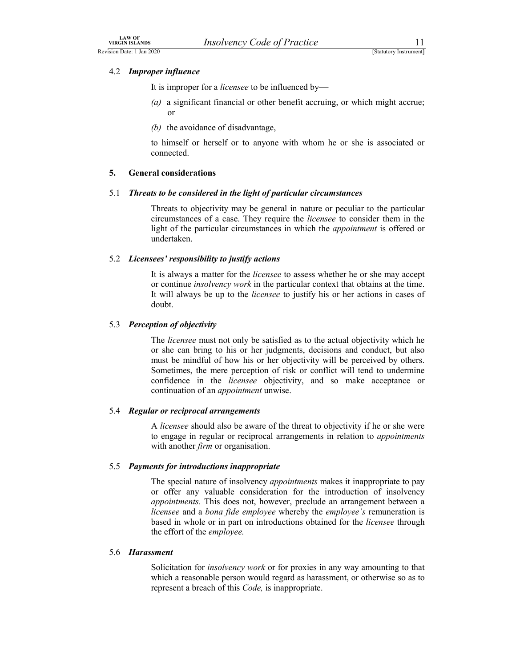### 4.2 Improper influence

LAW OF<br>
VIRGIN ISLANDS<br>
Sion Date: 1 Jan 2020<br>
4.2 *Improper influence*<br>
It is improper for a *licensee* to be influenced by—<br>
It is improper for a *licensee* to be influenced by— It is improper for a *licensee* to be influenced by-

- LAW OF<br>
VIRGIN ISLANDS<br>
Acvision Date: 1 Jan 2020<br>
A.2 **Improper influence**<br>
It is improper for a *licensee* to be influenced by—<br>
(a) a significant financial or other benefit accruing, or which might accrue; (a) a significant financial or other benefit accruing, or which might accrue; or
	- (b) the avoidance of disadvantage,

to himself or herself or to anyone with whom he or she is associated or connected.

### 5. General considerations

### 5.1 Threats to be considered in the light of particular circumstances

Threats to objectivity may be general in nature or peculiar to the particular circumstances of a case. They require the licensee to consider them in the light of the particular circumstances in which the *appointment* is offered or undertaken.

### 5.2 Licensees' responsibility to justify actions

It is always a matter for the *licensee* to assess whether he or she may accept or continue insolvency work in the particular context that obtains at the time. It will always be up to the licensee to justify his or her actions in cases of doubt.

### 5.3 Perception of objectivity

The *licensee* must not only be satisfied as to the actual objectivity which he or she can bring to his or her judgments, decisions and conduct, but also must be mindful of how his or her objectivity will be perceived by others. Sometimes, the mere perception of risk or conflict will tend to undermine confidence in the licensee objectivity, and so make acceptance or continuation of an *appointment* unwise.

### 5.4 Regular or reciprocal arrangements

A licensee should also be aware of the threat to objectivity if he or she were to engage in regular or reciprocal arrangements in relation to appointments with another *firm* or organisation.

### 5.5 Payments for introductions inappropriate

The special nature of insolvency *appointments* makes it inappropriate to pay or offer any valuable consideration for the introduction of insolvency appointments. This does not, however, preclude an arrangement between a licensee and a bona fide employee whereby the employee's remuneration is based in whole or in part on introductions obtained for the licensee through the effort of the employee.

### 5.6 Harassment

Solicitation for *insolvency work* or for proxies in any way amounting to that which a reasonable person would regard as harassment, or otherwise so as to represent a breach of this *Code*, is inappropriate.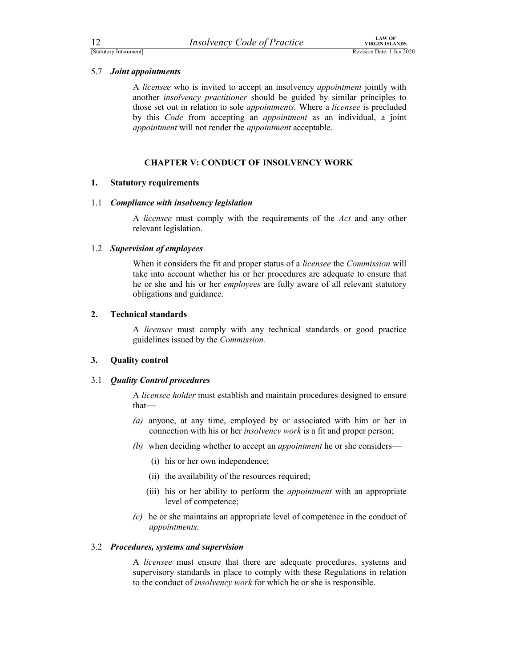### 5.7 Joint appointments

12 *Insolvency Code of Practice*<br>
Estatutory Instantioners<br>
5.7 *Joint appointments*<br>
A *licensee* who is invited to accept an insolvency *appointment* jointly with<br>
another *insolvency practitioner* should be ouided by For the content of the content of the content of the content of the content of the content of the content of the content of the another *insolvency practitioner* should be guided by similar principles to the *insolvency pr* A licensee who is invited to accept an insolvency *appointment* jointly with another insolvency practitioner should be guided by similar principles to those set out in relation to sole appointments. Where a licensee is precluded by this Code from accepting an appointment as an individual, a joint appointment will not render the appointment acceptable.

### CHAPTER V: CONDUCT OF INSOLVENCY WORK

### 1. Statutory requirements

### 1.1 Compliance with insolvency legislation

A licensee must comply with the requirements of the Act and any other relevant legislation.

### 1.2 Supervision of employees

When it considers the fit and proper status of a licensee the Commission will take into account whether his or her procedures are adequate to ensure that he or she and his or her employees are fully aware of all relevant statutory obligations and guidance.

### 2. Technical standards

A licensee must comply with any technical standards or good practice guidelines issued by the Commission.

### 3. Quality control

### 3.1 Quality Control procedures

A licensee holder must establish and maintain procedures designed to ensure that—

- (a) anyone, at any time, employed by or associated with him or her in connection with his or her *insolvency work* is a fit and proper person;
- (b) when deciding whether to accept an *appointment* he or she considers—
	- (i) his or her own independence;
	- (ii) the availability of the resources required;
	- (iii) his or her ability to perform the *appointment* with an appropriate level of competence;
- (c) he or she maintains an appropriate level of competence in the conduct of appointments.

### 3.2 Procedures, systems and supervision

A licensee must ensure that there are adequate procedures, systems and supervisory standards in place to comply with these Regulations in relation to the conduct of insolvency work for which he or she is responsible.